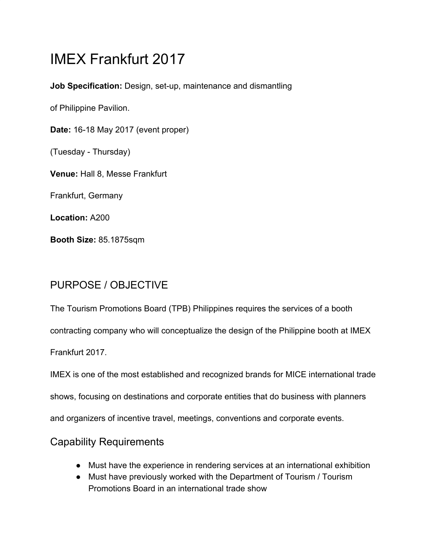# IMEX Frankfurt 2017

**Job Specification:** Design, set-up, maintenance and dismantling

of Philippine Pavilion.

**Date:** 16-18 May 2017 (event proper)

(Tuesday - Thursday)

**Venue:** Hall 8, Messe Frankfurt

Frankfurt, Germany

**Location:** A200

**Booth Size:** 85.1875sqm

## PURPOSE / OBJECTIVE

The Tourism Promotions Board (TPB) Philippines requires the services of a booth

contracting company who will conceptualize the design of the Philippine booth at IMEX

Frankfurt 2017.

IMEX is one of the most established and recognized brands for MICE international trade

shows, focusing on destinations and corporate entities that do business with planners

and organizers of incentive travel, meetings, conventions and corporate events.

### Capability Requirements

- Must have the experience in rendering services at an international exhibition
- Must have previously worked with the Department of Tourism / Tourism Promotions Board in an international trade show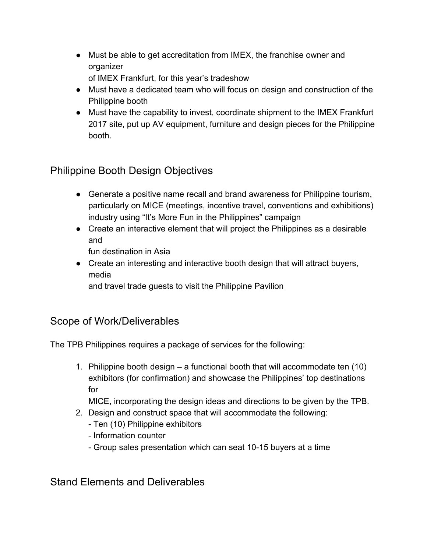● Must be able to get accreditation from IMEX, the franchise owner and organizer

of IMEX Frankfurt, for this year's tradeshow

- Must have a dedicated team who will focus on design and construction of the Philippine booth
- Must have the capability to invest, coordinate shipment to the IMEX Frankfurt 2017 site, put up AV equipment, furniture and design pieces for the Philippine booth.

## Philippine Booth Design Objectives

- Generate a positive name recall and brand awareness for Philippine tourism, particularly on MICE (meetings, incentive travel, conventions and exhibitions) industry using "It's More Fun in the Philippines" campaign
- Create an interactive element that will project the Philippines as a desirable and

fun destination in Asia

● Create an interesting and interactive booth design that will attract buyers, media

and travel trade guests to visit the Philippine Pavilion

#### Scope of Work/Deliverables

The TPB Philippines requires a package of services for the following:

1. Philippine booth design – a functional booth that will accommodate ten (10) exhibitors (for confirmation) and showcase the Philippines' top destinations for

MICE, incorporating the design ideas and directions to be given by the TPB.

- 2. Design and construct space that will accommodate the following:
	- Ten (10) Philippine exhibitors
	- Information counter
	- Group sales presentation which can seat 10-15 buyers at a time

Stand Elements and Deliverables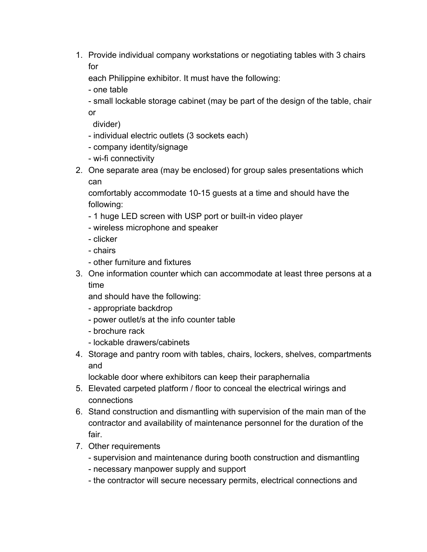1. Provide individual company workstations or negotiating tables with 3 chairs for

each Philippine exhibitor. It must have the following:

- one table

- small lockable storage cabinet (may be part of the design of the table, chair or

divider)

- individual electric outlets (3 sockets each)
- company identity/signage
- wi-fi connectivity
- 2. One separate area (may be enclosed) for group sales presentations which can

comfortably accommodate 10-15 guests at a time and should have the following:

- 1 huge LED screen with USP port or built-in video player
- wireless microphone and speaker
- clicker
- chairs
- other furniture and fixtures
- 3. One information counter which can accommodate at least three persons at a time

and should have the following:

- appropriate backdrop
- power outlet/s at the info counter table
- brochure rack
- lockable drawers/cabinets
- 4. Storage and pantry room with tables, chairs, lockers, shelves, compartments and

lockable door where exhibitors can keep their paraphernalia

- 5. Elevated carpeted platform / floor to conceal the electrical wirings and connections
- 6. Stand construction and dismantling with supervision of the main man of the contractor and availability of maintenance personnel for the duration of the fair.
- 7. Other requirements
	- supervision and maintenance during booth construction and dismantling
	- necessary manpower supply and support
	- the contractor will secure necessary permits, electrical connections and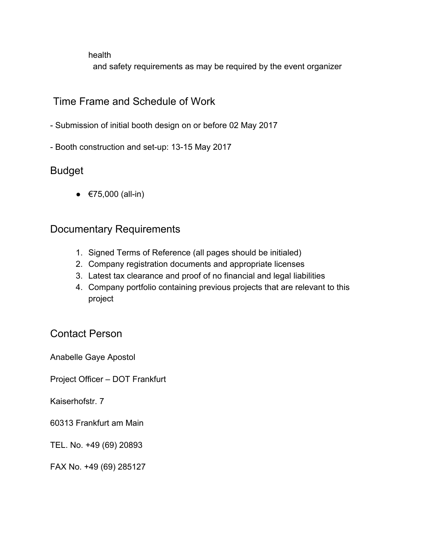health

and safety requirements as may be required by the event organizer

#### Time Frame and Schedule of Work

- Submission of initial booth design on or before 02 May 2017
- Booth construction and set-up: 13-15 May 2017

#### Budget

 $•$  €75,000 (all-in)

#### Documentary Requirements

- 1. Signed Terms of Reference (all pages should be initialed)
- 2. Company registration documents and appropriate licenses
- 3. Latest tax clearance and proof of no financial and legal liabilities
- 4. Company portfolio containing previous projects that are relevant to this project

#### Contact Person

Anabelle Gaye Apostol

Project Officer – DOT Frankfurt

Kaiserhofstr. 7

60313 Frankfurt am Main

TEL. No. +49 (69) 20893

FAX No. +49 (69) 285127